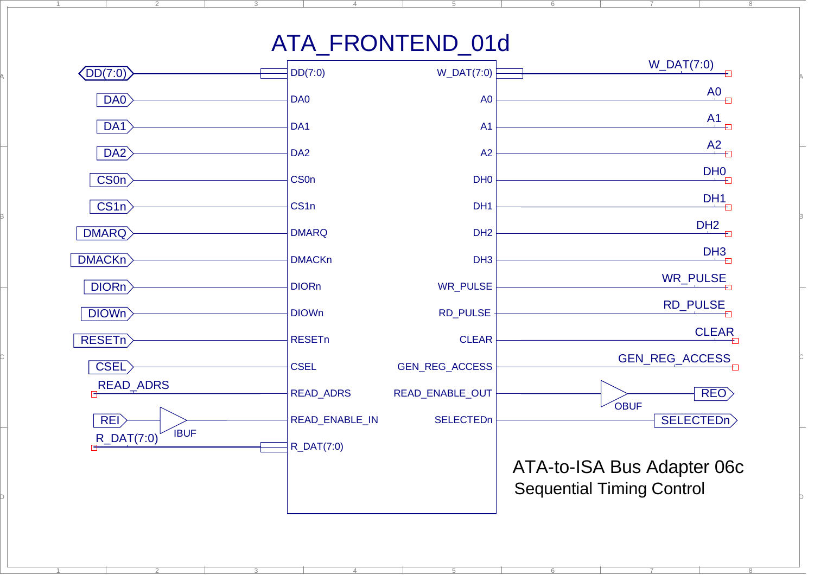## ATA\_FRONTEND\_01d

5

6

7

8

6

7

4

1

A

B

C

D

2

2

3

4

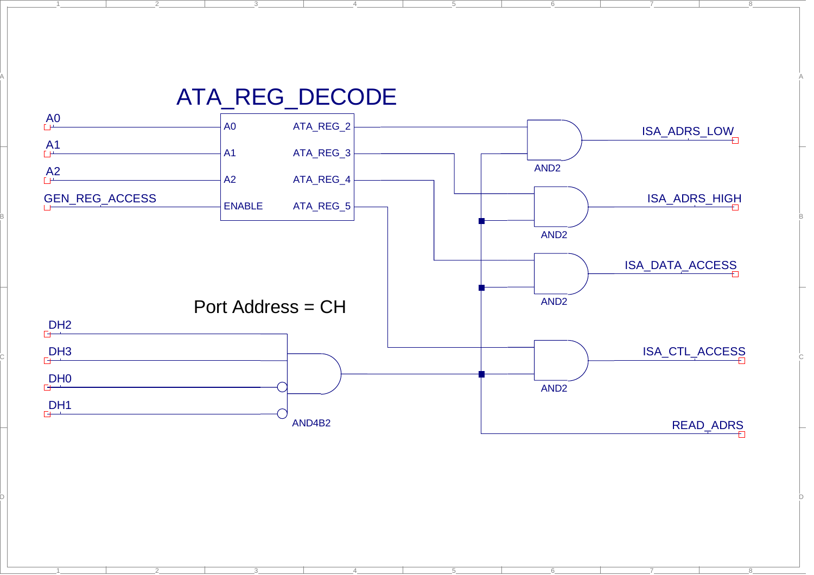

4

5

6

7

4

5

6

7

1

A

2

 $-1$ 

2

3

8

8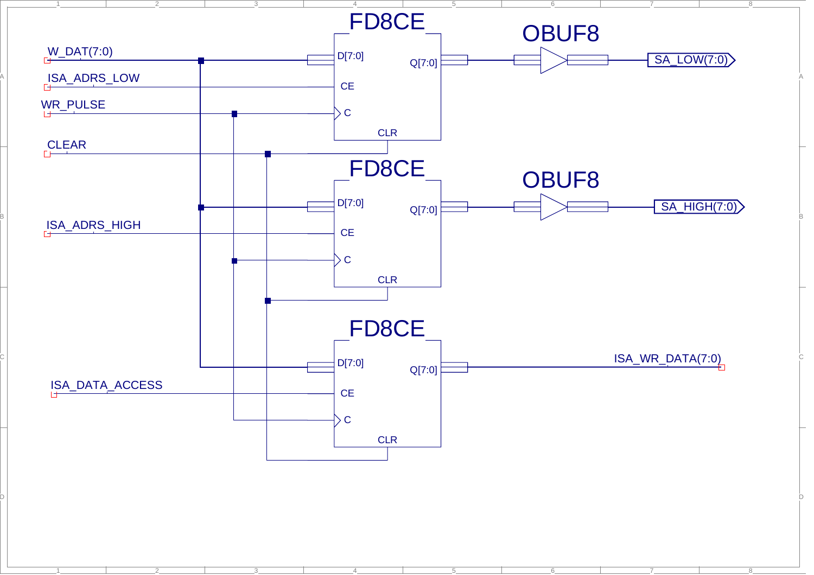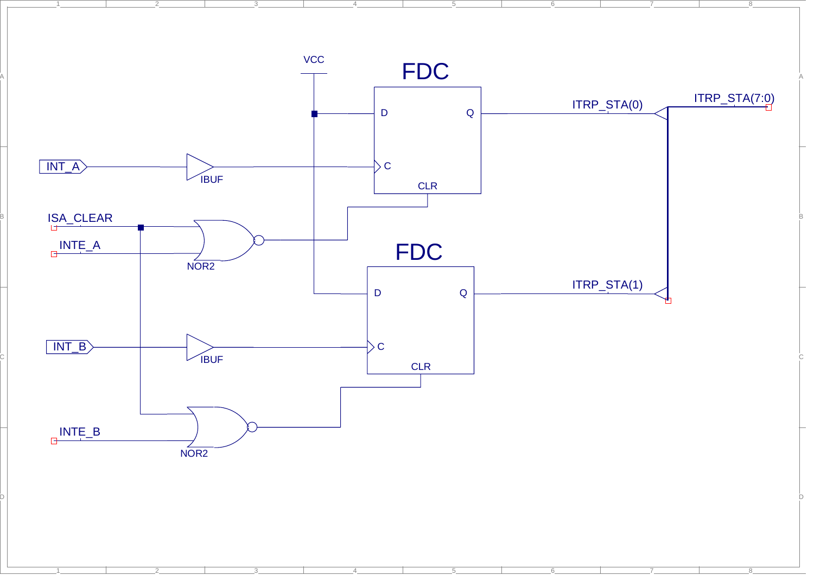

4

A

2

7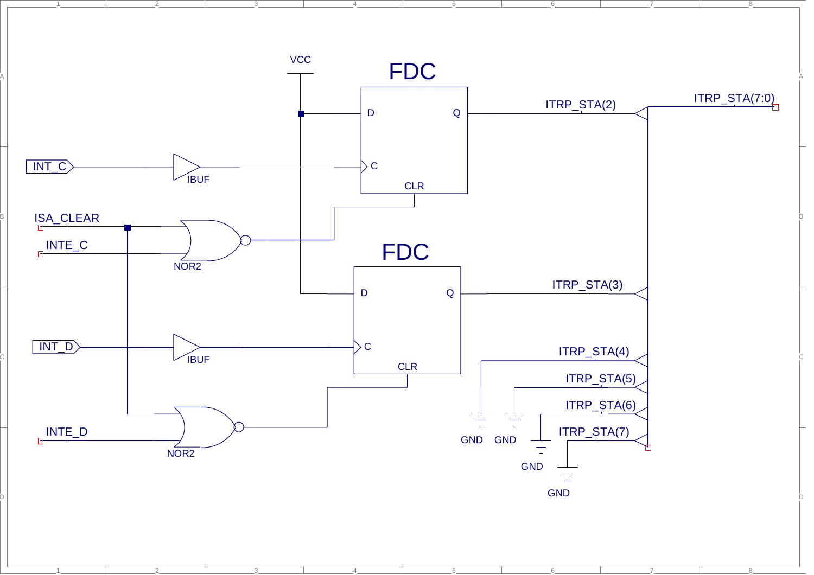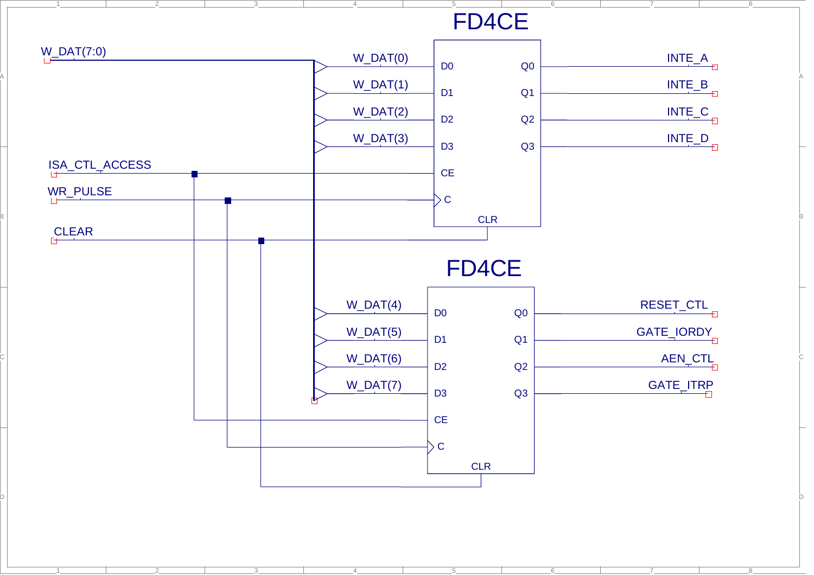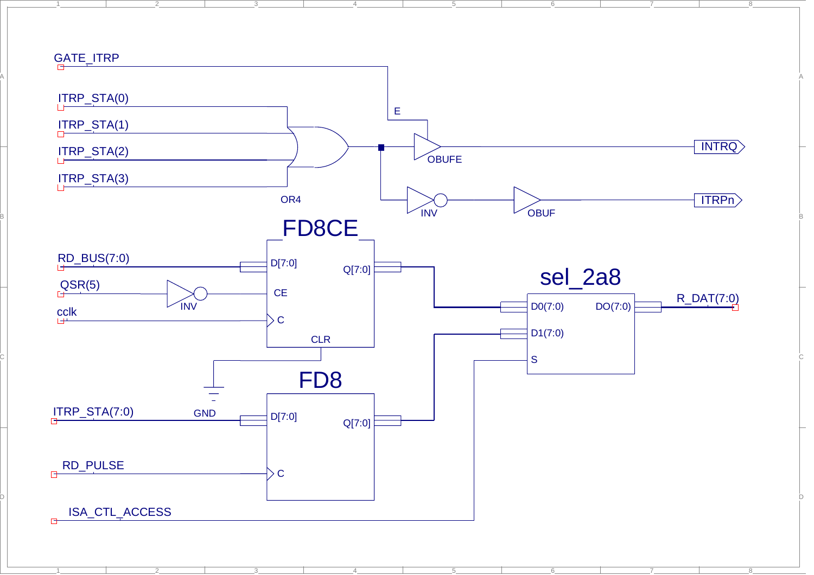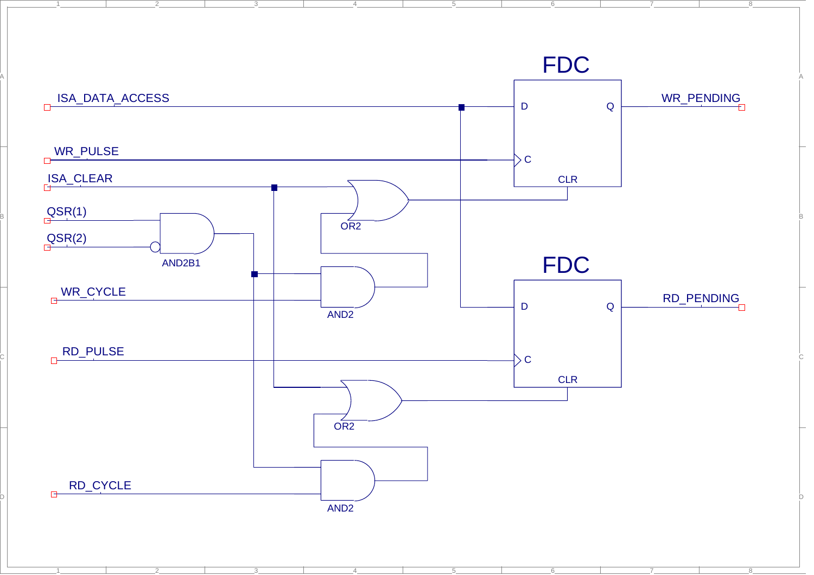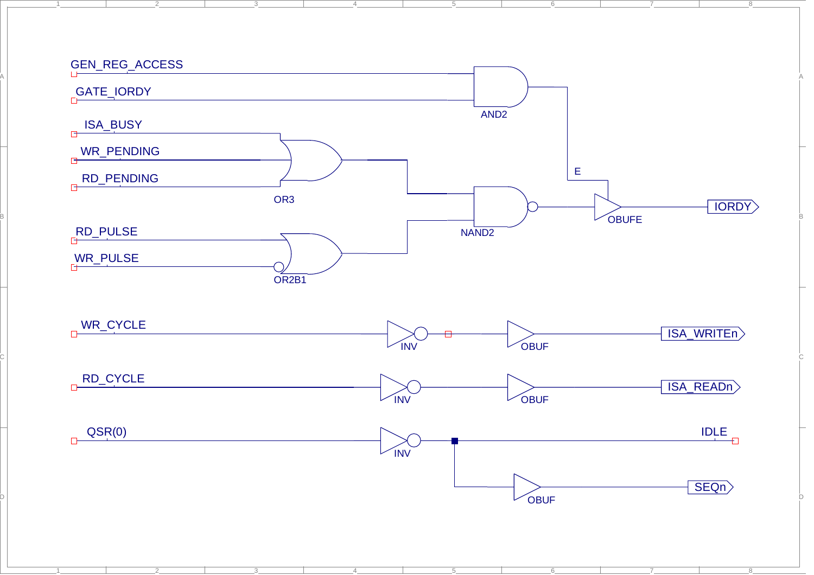

A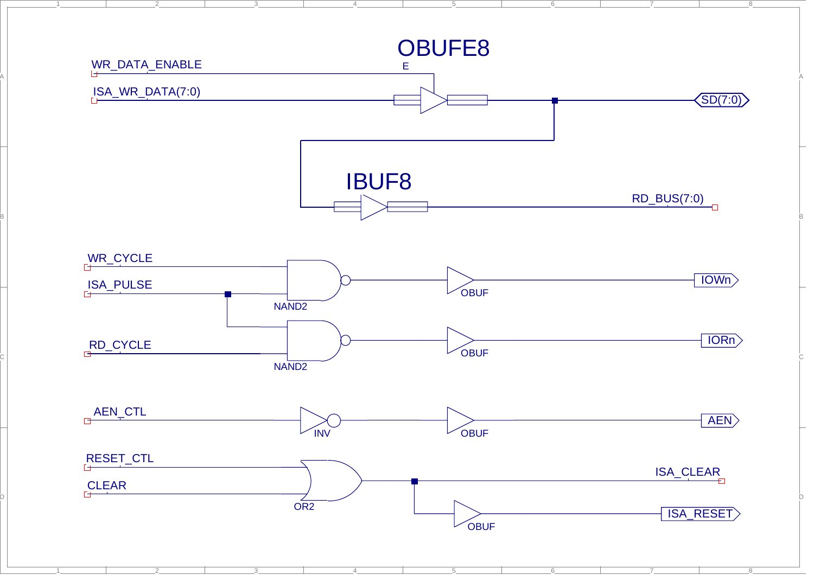

A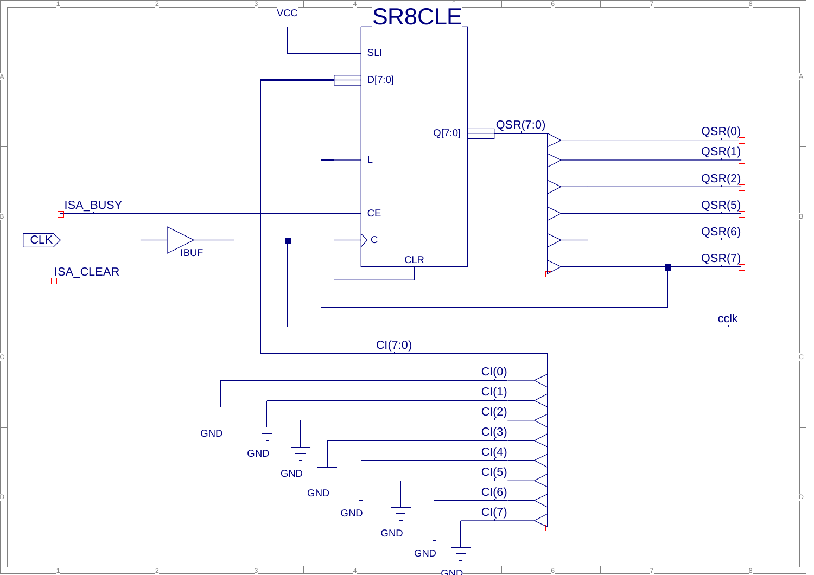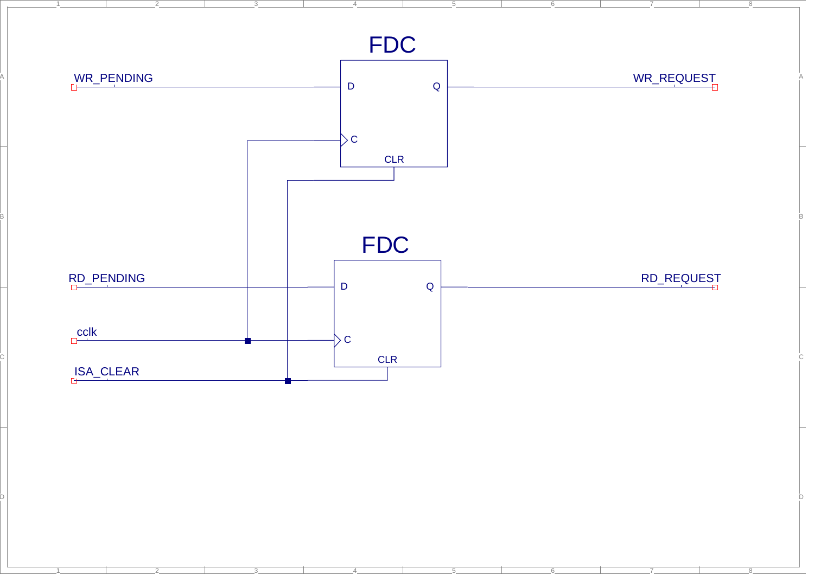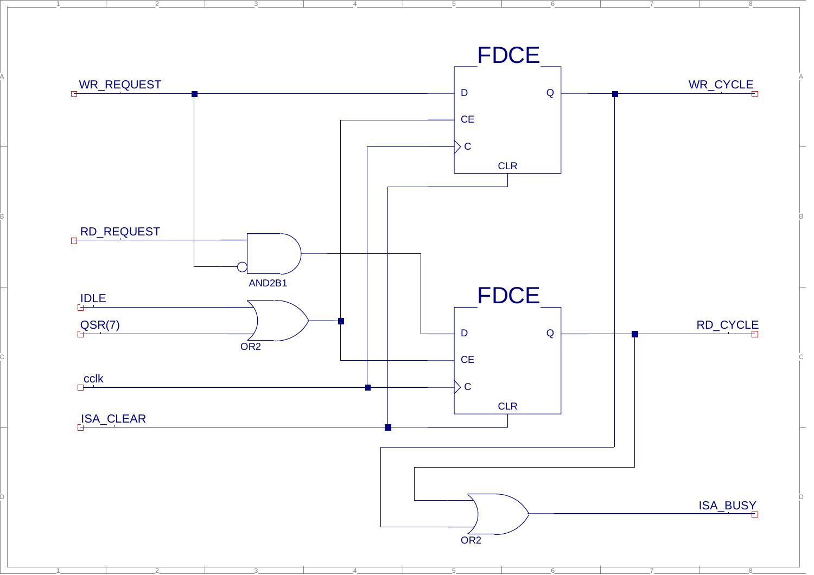